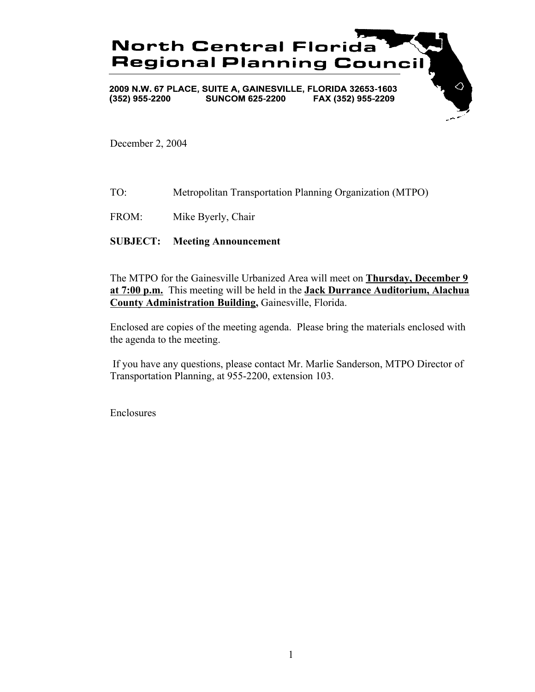

December 2, 2004

- TO: Metropolitan Transportation Planning Organization (MTPO)
- FROM: Mike Byerly, Chair

### **SUBJECT: Meeting Announcement**

The MTPO for the Gainesville Urbanized Area will meet on **Thursday, December 9 at 7:00 p.m.** This meeting will be held in the **Jack Durrance Auditorium, Alachua County Administration Building,** Gainesville, Florida.

Enclosed are copies of the meeting agenda. Please bring the materials enclosed with the agenda to the meeting.

 If you have any questions, please contact Mr. Marlie Sanderson, MTPO Director of Transportation Planning, at 955-2200, extension 103.

Enclosures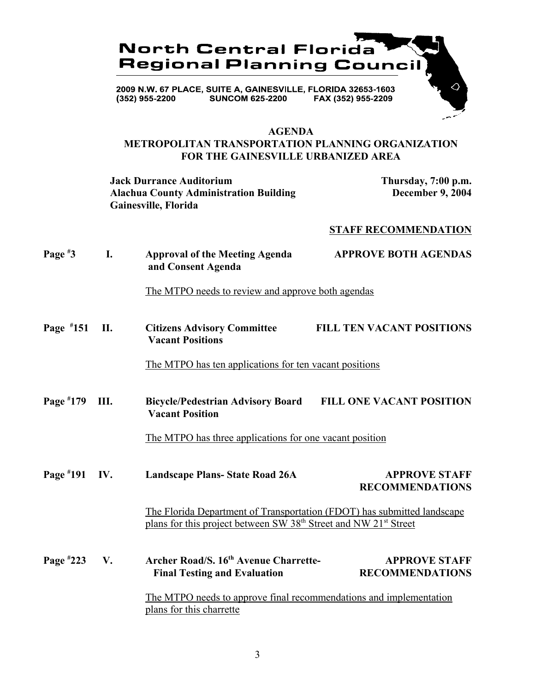

### **AGENDA**

### **METROPOLITAN TRANSPORTATION PLANNING ORGANIZATION FOR THE GAINESVILLE URBANIZED AREA**

**Jack Durrance Auditorium Thursday, 7:00 p.m. Alachua County Administration Building December 9, 2004 Gainesville, Florida**

### **STAFF RECOMMENDATION**

| Page $*3$   | I.  | <b>Approval of the Meeting Agenda</b><br>and Consent Agenda                                                                                                         | <b>APPROVE BOTH AGENDAS</b>                    |  |
|-------------|-----|---------------------------------------------------------------------------------------------------------------------------------------------------------------------|------------------------------------------------|--|
|             |     | The MTPO needs to review and approve both agendas                                                                                                                   |                                                |  |
| Page $*151$ | П.  | <b>Citizens Advisory Committee</b><br><b>Vacant Positions</b>                                                                                                       | <b>FILL TEN VACANT POSITIONS</b>               |  |
|             |     | The MTPO has ten applications for ten vacant positions                                                                                                              |                                                |  |
| Page $*179$ | Ш.  | <b>Bicycle/Pedestrian Advisory Board</b><br><b>Vacant Position</b>                                                                                                  | <b>FILL ONE VACANT POSITION</b>                |  |
|             |     | The MTPO has three applications for one vacant position                                                                                                             |                                                |  |
| Page $*191$ | IV. | <b>Landscape Plans-State Road 26A</b>                                                                                                                               | <b>APPROVE STAFF</b><br><b>RECOMMENDATIONS</b> |  |
|             |     | The Florida Department of Transportation (FDOT) has submitted landscape<br>plans for this project between SW 38 <sup>th</sup> Street and NW 21 <sup>st</sup> Street |                                                |  |
| Page $*223$ | V.  | Archer Road/S. 16th Avenue Charrette-<br><b>Final Testing and Evaluation</b>                                                                                        | <b>APPROVE STAFF</b><br><b>RECOMMENDATIONS</b> |  |
|             |     | The MTPO needs to approve final recommendations and implementation<br>plans for this charrette                                                                      |                                                |  |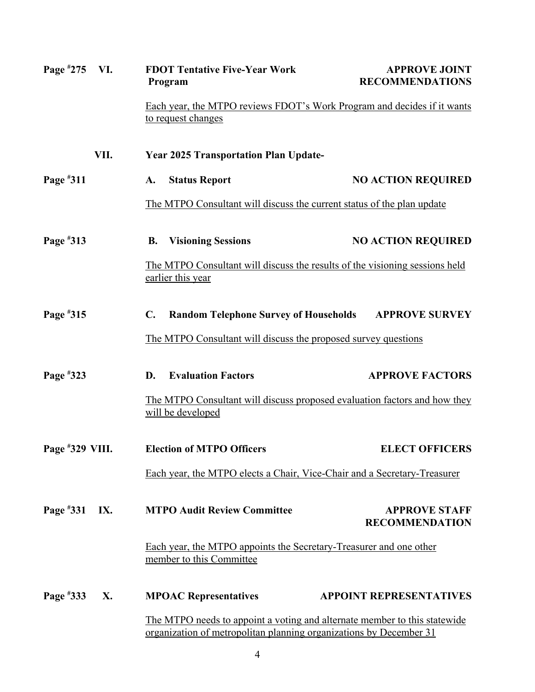| Page $*275$     | VI.  | <b>FDOT Tentative Five-Year Work</b><br>Program                                                                                                 | <b>APPROVE JOINT</b><br><b>RECOMMENDATIONS</b> |  |
|-----------------|------|-------------------------------------------------------------------------------------------------------------------------------------------------|------------------------------------------------|--|
|                 |      | Each year, the MTPO reviews FDOT's Work Program and decides if it wants<br>to request changes                                                   |                                                |  |
|                 | VII. | <b>Year 2025 Transportation Plan Update-</b>                                                                                                    |                                                |  |
| Page $*311$     |      | <b>Status Report</b><br>A.                                                                                                                      | <b>NO ACTION REQUIRED</b>                      |  |
|                 |      | The MTPO Consultant will discuss the current status of the plan update                                                                          |                                                |  |
| Page #313       |      | <b>Visioning Sessions</b><br><b>B.</b>                                                                                                          | <b>NO ACTION REQUIRED</b>                      |  |
|                 |      | The MTPO Consultant will discuss the results of the visioning sessions held<br>earlier this year                                                |                                                |  |
| Page #315       |      | $\mathbf{C}$ .<br><b>Random Telephone Survey of Households</b>                                                                                  | <b>APPROVE SURVEY</b>                          |  |
|                 |      | The MTPO Consultant will discuss the proposed survey questions                                                                                  |                                                |  |
| Page #323       |      | <b>Evaluation Factors</b><br>D.                                                                                                                 | <b>APPROVE FACTORS</b>                         |  |
|                 |      | The MTPO Consultant will discuss proposed evaluation factors and how they<br>will be developed                                                  |                                                |  |
| Page #329 VIII. |      | <b>Election of MTPO Officers</b>                                                                                                                | <b>ELECT OFFICERS</b>                          |  |
|                 |      | Each year, the MTPO elects a Chair, Vice-Chair and a Secretary-Treasurer                                                                        |                                                |  |
| Page #331       | IX.  | <b>MTPO Audit Review Committee</b>                                                                                                              | <b>APPROVE STAFF</b><br><b>RECOMMENDATION</b>  |  |
|                 |      | Each year, the MTPO appoints the Secretary-Treasurer and one other<br>member to this Committee                                                  |                                                |  |
| Page #333       | X.   | <b>MPOAC Representatives</b>                                                                                                                    | <b>APPOINT REPRESENTATIVES</b>                 |  |
|                 |      | The MTPO needs to appoint a voting and alternate member to this statewide<br>organization of metropolitan planning organizations by December 31 |                                                |  |
|                 |      | 4                                                                                                                                               |                                                |  |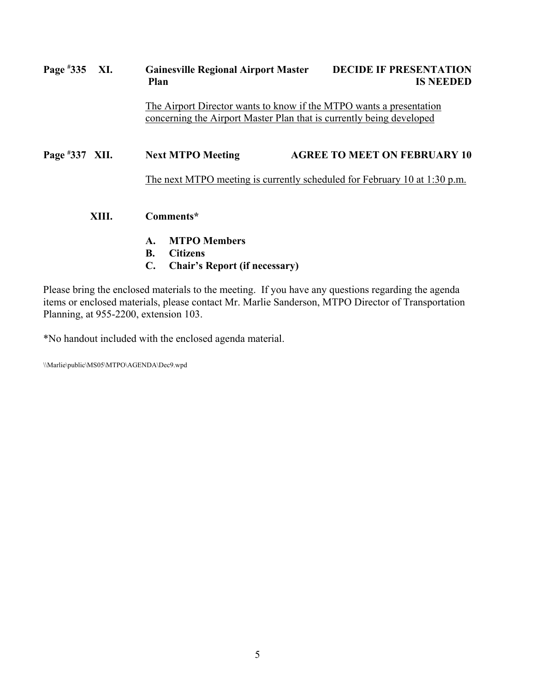# **Page # Gainesville Regional Airport Master DECIDE IF PRESENTATION Plan** IS NEEDED The Airport Director wants to know if the MTPO wants a presentation concerning the Airport Master Plan that is currently being developed **Page # 337 Next MTPO Meeting 4GREE TO MEET ON FEBRUARY 10** The next MTPO meeting is currently scheduled for February 10 at 1:30 p.m. **XIII. Comments\* A. MTPO Members B. Citizens C. Chair's Report (if necessary)**

Please bring the enclosed materials to the meeting. If you have any questions regarding the agenda items or enclosed materials, please contact Mr. Marlie Sanderson, MTPO Director of Transportation Planning, at 955-2200, extension 103.

\*No handout included with the enclosed agenda material.

\\Marlie\public\MS05\MTPO\AGENDA\Dec9.wpd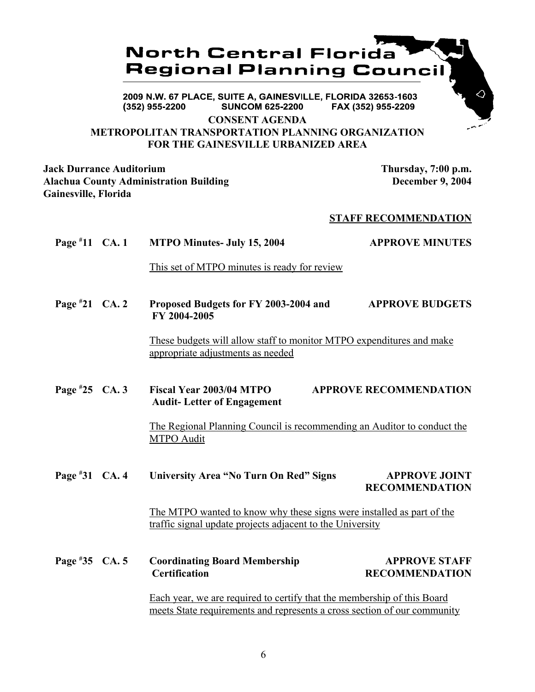## **North Central Florida Regional Planning Council**

2009 N.W. 67 PLACE, SUITE A, GAINESVILLE, FLORIDA 32653-1603 (352) 955-2200 **SUNCOM 625-2200** FAX (352) 955-2209

**CONSENT AGENDA**

### **METROPOLITAN TRANSPORTATION PLANNING ORGANIZATION FOR THE GAINESVILLE URBANIZED AREA**

**Jack Durrance Auditorium Thursday, 7:00 p.m. Alachua County Administration Building December 9, 2004 Gainesville, Florida**

### **STAFF RECOMMENDATION**

**Page # 11 MTPO Minutes- July 15, 2004 APPROVE MINUTES** This set of MTPO minutes is ready for review **Page # 21 CA. 2 Proposed Budgets for FY 2003-2004 and APPROVE BUDGETS FY 2004-2005** These budgets will allow staff to monitor MTPO expenditures and make appropriate adjustments as needed **Page # 25 CA. 3 Fiscal Year 2003/04 MTPO APPROVE RECOMMENDATION**

**Audit- Letter of Engagement**

The Regional Planning Council is recommending an Auditor to conduct the MTPO Audit

**Page # 31 University Area "No Turn On Red" Signs APPROVE JOINT RECOMMENDATION**

> The MTPO wanted to know why these signs were installed as part of the traffic signal update projects adjacent to the University

**Page # 35 Coordinating Board Membership APPROVE STAFF Certification RECOMMENDATION** 

> Each year, we are required to certify that the membership of this Board meets State requirements and represents a cross section of our community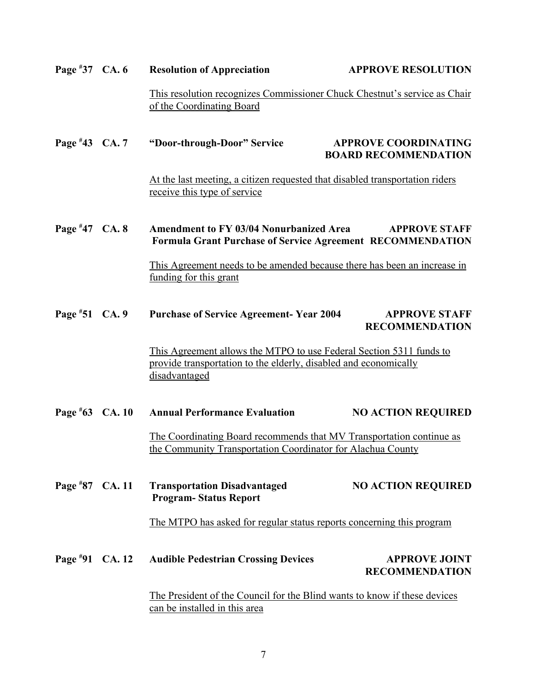| Page $*37$ CA. 6  | <b>Resolution of Appreciation</b>                                                                                                                        | <b>APPROVE RESOLUTION</b>                                  |
|-------------------|----------------------------------------------------------------------------------------------------------------------------------------------------------|------------------------------------------------------------|
|                   | This resolution recognizes Commissioner Chuck Chestnut's service as Chair<br>of the Coordinating Board                                                   |                                                            |
| Page #43 CA. 7    | "Door-through-Door" Service                                                                                                                              | <b>APPROVE COORDINATING</b><br><b>BOARD RECOMMENDATION</b> |
|                   | At the last meeting, a citizen requested that disabled transportation riders<br>receive this type of service                                             |                                                            |
| Page $*47$ CA. 8  | <b>Amendment to FY 03/04 Nonurbanized Area</b><br><b>APPROVE STAFF</b><br><b>Formula Grant Purchase of Service Agreement RECOMMENDATION</b>              |                                                            |
|                   | This Agreement needs to be amended because there has been an increase in<br>funding for this grant                                                       |                                                            |
| Page #51 CA. 9    | <b>Purchase of Service Agreement- Year 2004</b>                                                                                                          | <b>APPROVE STAFF</b><br><b>RECOMMENDATION</b>              |
|                   | This Agreement allows the MTPO to use Federal Section 5311 funds to<br>provide transportation to the elderly, disabled and economically<br>disadvantaged |                                                            |
| Page $*63$ CA. 10 | <b>Annual Performance Evaluation</b>                                                                                                                     | <b>NO ACTION REQUIRED</b>                                  |
|                   | The Coordinating Board recommends that MV Transportation continue as<br>the Community Transportation Coordinator for Alachua County                      |                                                            |
| Page #87 CA. 11   | <b>Transportation Disadvantaged</b><br><b>Program-Status Report</b>                                                                                      | <b>NO ACTION REQUIRED</b>                                  |
|                   | The MTPO has asked for regular status reports concerning this program                                                                                    |                                                            |
| Page #91 CA. 12   | <b>Audible Pedestrian Crossing Devices</b>                                                                                                               | <b>APPROVE JOINT</b><br><b>RECOMMENDATION</b>              |
|                   | The President of the Council for the Blind wants to know if these devices<br>can be installed in this area                                               |                                                            |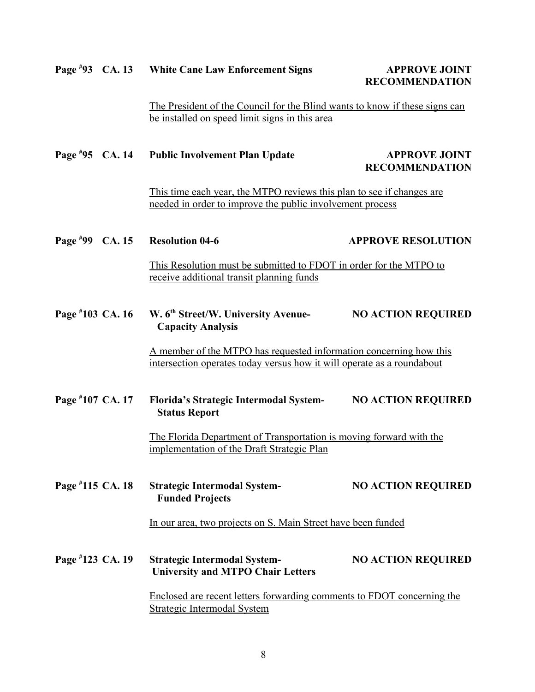#### Page #93 CA. 13 **93 White Cane Law Enforcement Signs APPROVE JOINT**

# **RECOMMENDATION**

The President of the Council for the Blind wants to know if these signs can be installed on speed limit signs in this area

#### **Page #** Public Involvement Plan Update **APPROVE JOINT RECOMMENDATION**

This time each year, the MTPO reviews this plan to see if changes are needed in order to improve the public involvement process

#### Page #99 CA. 15 **PEROVE RESOLUTION**

This Resolution must be submitted to FDOT in order for the MTPO to receive additional transit planning funds

#### Page #103 CA. 16 **103 W. 6th Street/W. University Avenue- NO ACTION REQUIRED Capacity Analysis**

A member of the MTPO has requested information concerning how this intersection operates today versus how it will operate as a roundabout

#### **Page # 107 CA. 17 Florida's Strategic Intermodal System- NO ACTION REQUIRED Status Report**

The Florida Department of Transportation is moving forward with the implementation of the Draft Strategic Plan

#### **Page # 115 Strategic Intermodal System-** NO ACTION REQUIRED **Funded Projects**

In our area, two projects on S. Main Street have been funded

#### **Page # 123 Strategic Intermodal System-** NO ACTION REQUIRED **University and MTPO Chair Letters**

Enclosed are recent letters forwarding comments to FDOT concerning the Strategic Intermodal System